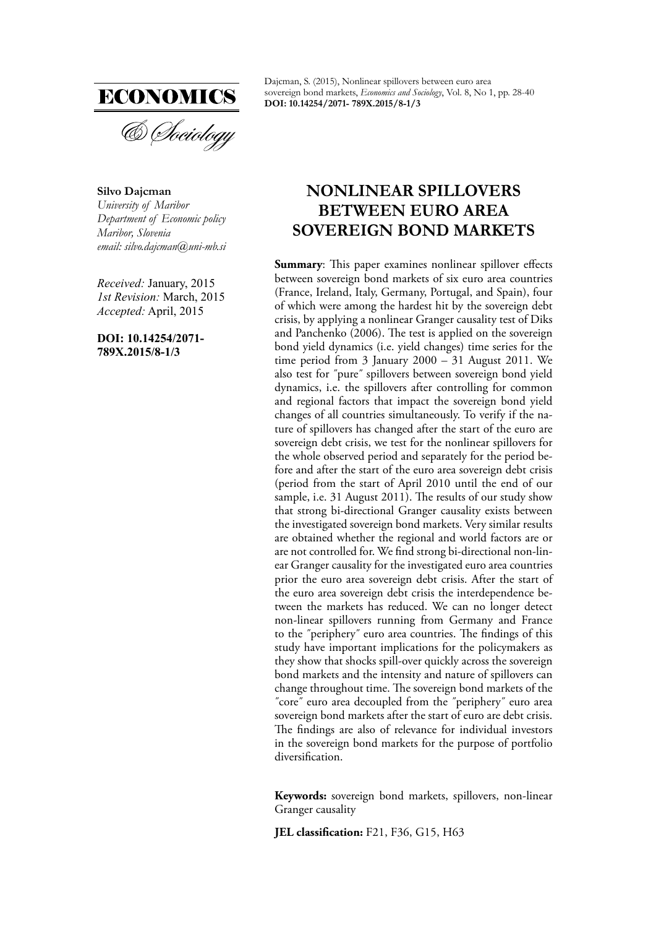

**Silvo Dajcman** *University of Maribor Department of Economic policy Maribor, Slovenia email: silvo.dajcman@uni-mb.si*

*Received:* January, 2015 *1st Revision:* March, 2015 *Accepted:* April, 2015

**DOI: 10.14254/2071- 789X.2015/8-1/3**

Dajcman, S. (2015), Nonlinear spillovers between euro area sovereign bond markets, *Economics and Sociology*, Vol. 8, No 1, pp. 28-40 **DOI: 10.14254/2071- 789X.2015/8-1/3**

# **NONLINEAR SPILLOVERS BETWEEN EURO AREA SOVEREIGN BOND MARKETS**

**Summary:** This paper examines nonlinear spillover effects between sovereign bond markets of six euro area countries (France, Ireland, Italy, Germany, Portugal, and Spain), four of which were among the hardest hit by the sovereign debt crisis, by applying a nonlinear Granger causality test of Diks and Panchenko (2006). The test is applied on the sovereign bond yield dynamics (i.e. yield changes) time series for the time period from 3 January  $2000 - 31$  August 2011. We also test for ˝pure˝ spillovers between sovereign bond yield dynamics, i.e. the spillovers after controlling for common and regional factors that impact the sovereign bond yield changes of all countries simultaneously. To verify if the nature of spillovers has changed after the start of the euro are sovereign debt crisis, we test for the nonlinear spillovers for the whole observed period and separately for the period before and after the start of the euro area sovereign debt crisis (period from the start of April 2010 until the end of our sample, i.e. 31 August 2011). The results of our study show that strong bi-directional Granger causality exists between the investigated sovereign bond markets. Very similar results are obtained whether the regional and world factors are or are not controlled for. We find strong bi-directional non-linear Granger causality for the investigated euro area countries prior the euro area sovereign debt crisis. After the start of the euro area sovereign debt crisis the interdependence between the markets has reduced. We can no longer detect non-linear spillovers running from Germany and France to the "periphery" euro area countries. The findings of this study have important implications for the policymakers as they show that shocks spill-over quickly across the sovereign bond markets and the intensity and nature of spillovers can change throughout time. The sovereign bond markets of the ˝core˝ euro area decoupled from the ˝periphery˝ euro area sovereign bond markets after the start of euro are debt crisis. The findings are also of relevance for individual investors in the sovereign bond markets for the purpose of portfolio diversification.

**Keywords:** sovereign bond markets, spillovers, non-linear Granger causality

**JEL classification:** F21, F36, G15, H63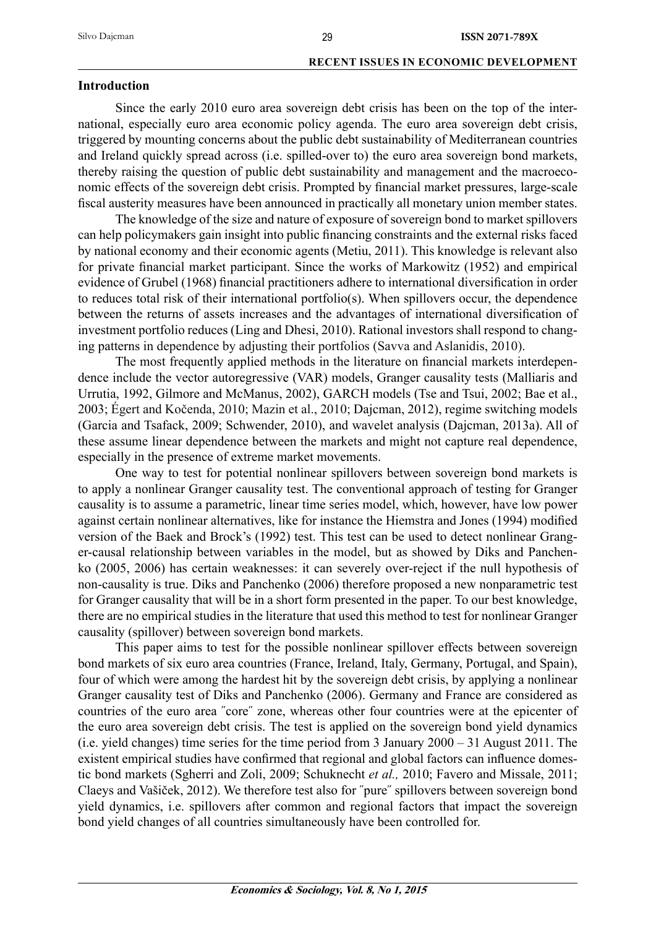# **Introduction**

Since the early 2010 euro area sovereign debt crisis has been on the top of the international, especially euro area economic policy agenda. The euro area sovereign debt crisis, triggered by mounting concerns about the public debt sustainability of Mediterranean countries and Ireland quickly spread across (i.e. spilled-over to) the euro area sovereign bond markets, thereby raising the question of public debt sustainability and management and the macroeconomic effects of the sovereign debt crisis. Prompted by financial market pressures, large-scale fiscal austerity measures have been announced in practically all monetary union member states.

The knowledge of the size and nature of exposure of sovereign bond to market spillovers can help policymakers gain insight into public financing constraints and the external risks faced by national economy and their economic agents (Metiu, 2011). This knowledge is relevant also for private financial market participant. Since the works of Markowitz (1952) and empirical evidence of Grubel (1968) financial practitioners adhere to international diversification in order to reduces total risk of their international portfolio(s). When spillovers occur, the dependence between the returns of assets increases and the advantages of international diversification of investment portfolio reduces (Ling and Dhesi, 2010). Rational investors shall respond to changing patterns in dependence by adjusting their portfolios (Savva and Aslanidis, 2010).

The most frequently applied methods in the literature on financial markets interdependence include the vector autoregressive (VAR) models, Granger causality tests (Malliaris and Urrutia, 1992, Gilmore and McManus, 2002), GARCH models (Tse and Tsui, 2002; Bae et al., 2003; Égert and Kočenda, 2010; Mazin et al., 2010; Dajcman, 2012), regime switching models (Garcia and Tsafack, 2009; Schwender, 2010), and wavelet analysis (Dajcman, 2013a). All of these assume linear dependence between the markets and might not capture real dependence, especially in the presence of extreme market movements.

One way to test for potential nonlinear spillovers between sovereign bond markets is to apply a nonlinear Granger causality test. The conventional approach of testing for Granger causality is to assume a parametric, linear time series model, which, however, have low power against certain nonlinear alternatives, like for instance the Hiemstra and Jones (1994) modified version of the Baek and Brock's (1992) test. This test can be used to detect nonlinear Granger-causal relationship between variables in the model, but as showed by Diks and Panchenko (2005, 2006) has certain weaknesses: it can severely over-reject if the null hypothesis of non-causality is true. Diks and Panchenko (2006) therefore proposed a new nonparametric test for Granger causality that will be in a short form presented in the paper. To our best knowledge, there are no empirical studies in the literature that used this method to test for nonlinear Granger causality (spillover) between sovereign bond markets.

This paper aims to test for the possible nonlinear spillover effects between sovereign bond markets of six euro area countries (France, Ireland, Italy, Germany, Portugal, and Spain), four of which were among the hardest hit by the sovereign debt crisis, by applying a nonlinear Granger causality test of Diks and Panchenko (2006). Germany and France are considered as countries of the euro area ˝core˝ zone, whereas other four countries were at the epicenter of the euro area sovereign debt crisis. The test is applied on the sovereign bond yield dynamics (i.e. yield changes) time series for the time period from 3 January 2000 – 31 August 2011. The existent empirical studies have confirmed that regional and global factors can influence domestic bond markets (Sgherri and Zoli, 2009; Schuknecht *et al.,* 2010; Favero and Missale, 2011; Claeys and Vašiček, 2012). We therefore test also for ˝pure˝ spillovers between sovereign bond yield dynamics, i.e. spillovers after common and regional factors that impact the sovereign bond yield changes of all countries simultaneously have been controlled for.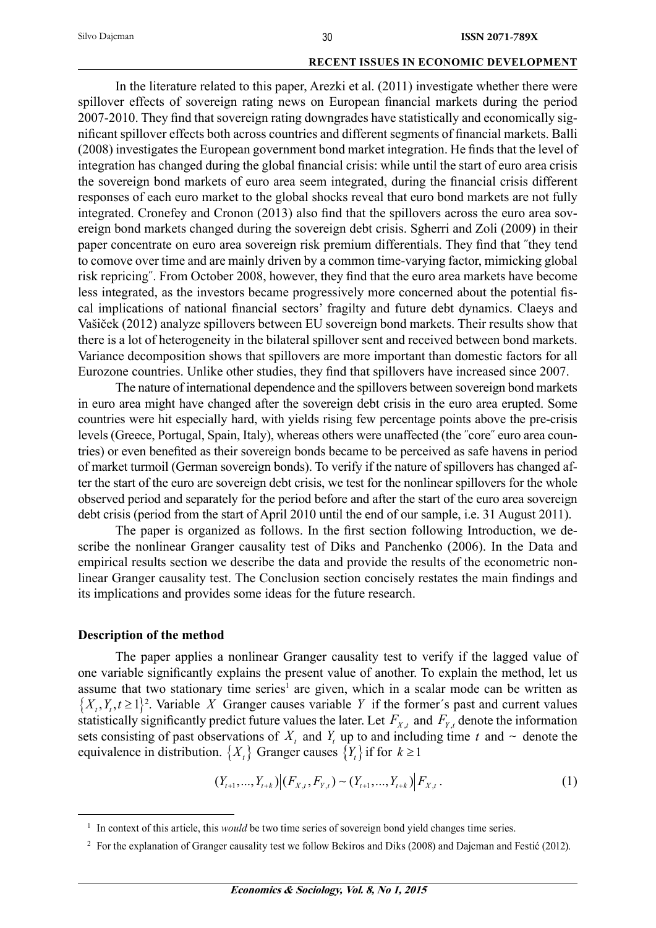In the literature related to this paper, Arezki et al. (2011) investigate whether there were spillover effects of sovereign rating news on European financial markets during the period 2007-2010. They find that sovereign rating downgrades have statistically and economically significant spillover effects both across countries and different segments of financial markets. Balli (2008) investigates the European government bond market integration. He finds that the level of integration has changed during the global financial crisis: while until the start of euro area crisis the sovereign bond markets of euro area seem integrated, during the financial crisis different responses of each euro market to the global shocks reveal that euro bond markets are not fully integrated. Cronefey and Cronon (2013) also find that the spillovers across the euro area sovereign bond markets changed during the sovereign debt crisis. Sgherri and Zoli (2009) in their paper concentrate on euro area sovereign risk premium differentials. They find that "they tend to comove over time and are mainly driven by a common time-varying factor, mimicking global risk repricing". From October 2008, however, they find that the euro area markets have become less integrated, as the investors became progressively more concerned about the potential fiscal implications of national financial sectors' fragilty and future debt dynamics. Claeys and Vašiček (2012) analyze spillovers between EU sovereign bond markets. Their results show that there is a lot of heterogeneity in the bilateral spillover sent and received between bond markets. Variance decomposition shows that spillovers are more important than domestic factors for all Eurozone countries. Unlike other studies, they find that spillovers have increased since 2007.

The nature of international dependence and the spillovers between sovereign bond markets in euro area might have changed after the sovereign debt crisis in the euro area erupted. Some countries were hit especially hard, with yields rising few percentage points above the pre-crisis levels (Greece, Portugal, Spain, Italy), whereas others were unaffected (the ˝core˝ euro area countries) or even benefited as their sovereign bonds became to be perceived as safe havens in period of market turmoil (German sovereign bonds). To verify if the nature of spillovers has changed after the start of the euro are sovereign debt crisis, we test for the nonlinear spillovers for the whole observed period and separately for the period before and after the start of the euro area sovereign debt crisis (period from the start of April 2010 until the end of our sample, i.e. 31 August 2011).

The paper is organized as follows. In the first section following Introduction, we describe the nonlinear Granger causality test of Diks and Panchenko (2006). In the Data and empirical results section we describe the data and provide the results of the econometric nonlinear Granger causality test. The Conclusion section concisely restates the main findings and its implications and provides some ideas for the future research.

### **Description of the method**

The paper applies a nonlinear Granger causality test to verify if the lagged value of one variable significantly explains the present value of another. To explain the method, let us assume that two stationary time series<sup>1</sup> are given, which in a scalar mode can be written as  $\{X_t, Y_t, t \geq 1\}^2$ . Variable *X* Granger causes variable *Y* if the former's past and current values statistically significantly predict future values the later. Let  $F_{X,t}$  and  $F_{Y,t}$  denote the information sets consisting of past observations of  $X_t$  and  $Y_t$  up to and including time  $t$  and  $\sim$  denote the equivalence in distribution.  $\{X_t\}$  Granger causes  $\{Y_t\}$  if for  $k \geq 1$ 

$$
(Y_{t+1},...,Y_{t+k})|(F_{X,t},F_{Y,t})\sim (Y_{t+1},...,Y_{t+k})|F_{X,t}.
$$
\n
$$
(1)
$$

<sup>&</sup>lt;sup>1</sup> In context of this article, this *would* be two time series of sovereign bond yield changes time series.

<sup>&</sup>lt;sup>2</sup> For the explanation of Granger causality test we follow Bekiros and Diks (2008) and Dajcman and Festić (2012).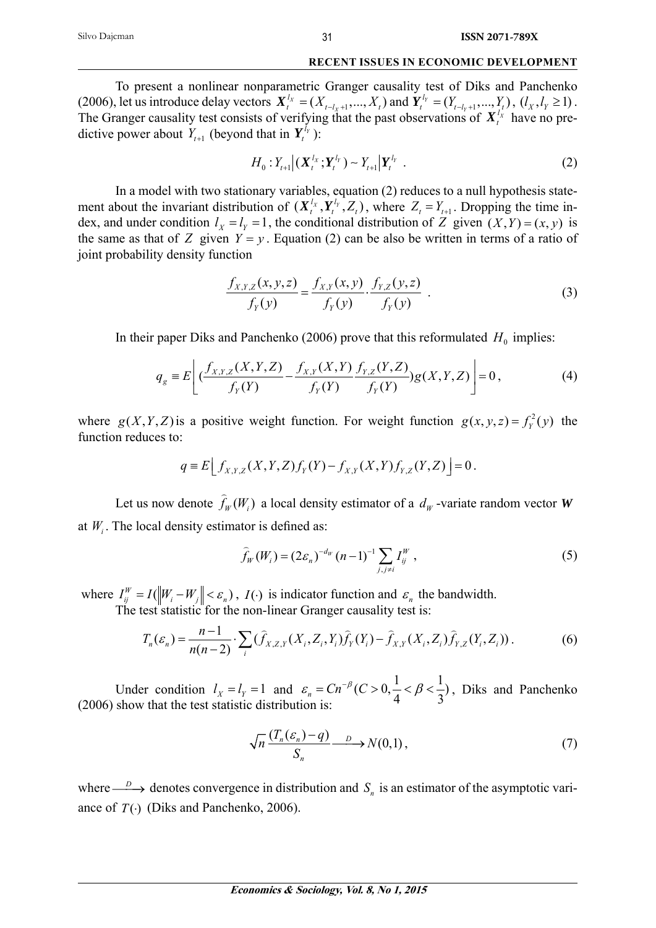To present a nonlinear nonparametric Granger causality test of Diks and Panchenko (2006), let us introduce delay vectors  $X_t^{l_X} = (X_{t-l_X+1},...,X_t)$  $I_t^{l_x} = (X_{t-l_x+1},...,X_t)$  and  $Y_t^{l_y} = (Y_{t-l_y+1},...,Y_t)$  $\chi_t^{l_y} = (Y_{t-l_y+1},..., Y_t), (l_x, l_y \ge 1).$ The Granger causality test consists of verifying that the past observations of  $X_t^{l_x}$  have no predictive power about  $Y_{t+1}$  (beyond that in  $Y_t^{l_Y}$ ):

$$
H_0: Y_{t+1} | (\mathbf{X}_t^{l_x}; \mathbf{Y}_t^{l_y}) \sim Y_{t+1} | \mathbf{Y}_t^{l_y} .
$$
 (2)

In a model with two stationary variables, equation (2) reduces to a null hypothesis statement about the invariant distribution of  $(X_t^{l_x}, Y_t^{l_y}, Z_t)$ , where  $Z_t = Y_{t+1}$ . Dropping the time index, and under condition  $l_x = l_y = 1$ , the conditional distribution of *Z* given  $(X, Y) = (x, y)$  is the same as that of *Z* given  $Y = y$ . Equation (2) can be also be written in terms of a ratio of joint probability density function

$$
\frac{f_{X,Y,Z}(x,y,z)}{f_Y(y)} = \frac{f_{X,Y}(x,y)}{f_Y(y)} \cdot \frac{f_{Y,Z}(y,z)}{f_Y(y)} .
$$
\n(3)

In their paper Diks and Panchenko (2006) prove that this reformulated  $H_0$  implies:

$$
q_{g} = E\left[ \left( \frac{f_{X,Y,Z}(X,Y,Z)}{f_{Y}(Y)} - \frac{f_{X,Y}(X,Y)}{f_{Y}(Y)} \frac{f_{Y,Z}(Y,Z)}{f_{Y}(Y)} \right) g(X,Y,Z) \right] = 0, \tag{4}
$$

where  $g(X, Y, Z)$  is a positive weight function. For weight function  $g(x, y, z) = f_Y^2(y)$  the function reduces to:

$$
q = E\Big[ f_{X,Y,Z}(X,Y,Z) f_Y(Y) - f_{X,Y}(X,Y) f_{Y,Z}(Y,Z) \Big] = 0.
$$

Let us now denote  $\hat{f}_W(W_i)$  a local density estimator of a  $d_W$ -variate random vector *W* at  $W_i$ . The local density estimator is defined as:

$$
\widehat{f}_W(W_i) = (2\varepsilon_n)^{-d_W} (n-1)^{-1} \sum_{j,j \neq i} I_{ij}^W,
$$
\n(5)

where  $I_{ij}^W = I(\Vert W_i - W_j \Vert < \varepsilon_n)$ ,  $I(\cdot)$  is indicator function and  $\varepsilon_n$  the bandwidth. The test statistic for the non-linear Granger causality test is:

$$
T_n(\varepsilon_n) = \frac{n-1}{n(n-2)} \cdot \sum_i (\widehat{f}_{X,Z,Y}(X_i, Z_i, Y_i) \widehat{f}_Y(Y_i) - \widehat{f}_{X,Y}(X_i, Z_i) \widehat{f}_{Y,Z}(Y_i, Z_i)).
$$
 (6)

Under condition  $l_x = l_y = 1$  and  $\varepsilon_n = C n^{-\beta} (C > 0, \frac{1}{4} < \beta < \frac{1}{3})$ , Diks and Panchenko (2006) show that the test statistic distribution is:

$$
\sqrt{n}\frac{(T_n(\varepsilon_n)-q)}{S_n} \longrightarrow N(0,1),\tag{7}
$$

where  $\longrightarrow$  denotes convergence in distribution and  $S_n$  is an estimator of the asymptotic variance of  $T(\cdot)$  (Diks and Panchenko, 2006).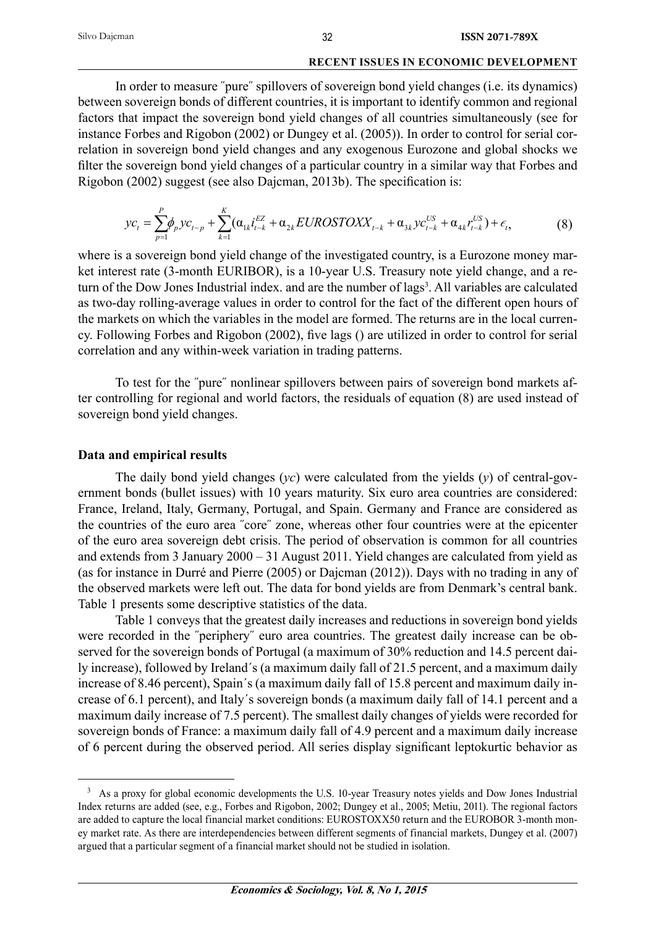In order to measure ˝pure˝ spillovers of sovereign bond yield changes (i.e. its dynamics) between sovereign bonds of different countries, it is important to identify common and regional factors that impact the sovereign bond yield changes of all countries simultaneously (see for instance Forbes and Rigobon (2002) or Dungey et al. (2005)). In order to control for serial correlation in sovereign bond yield changes and any exogenous Eurozone and global shocks we filter the sovereign bond yield changes of a particular country in a similar way that Forbes and Rigobon (2002) suggest (see also Dajcman, 2013b). The specification is:

$$
yc_{t} = \sum_{p=1}^{P} \phi_{p} y c_{t-p} + \sum_{k=1}^{K} (\alpha_{1k} i_{t-k}^{EZ} + \alpha_{2k} EUROSTOX X_{t-k} + \alpha_{3k} y c_{t-k}^{US} + \alpha_{4k} r_{t-k}^{US}) + \epsilon_{t},
$$
(8)

where is a sovereign bond yield change of the investigated country, is a Eurozone money market interest rate (3-month EURIBOR), is a 10-year U.S. Treasury note yield change, and a return of the Dow Jones Industrial index. and are the number of lags<sup>3</sup>. All variables are calculated as two-day rolling-average values in order to control for the fact of the different open hours of the markets on which the variables in the model are formed. The returns are in the local currency. Following Forbes and Rigobon (2002), five lags () are utilized in order to control for serial correlation and any within-week variation in trading patterns.

To test for the ˝pure˝ nonlinear spillovers between pairs of sovereign bond markets after controlling for regional and world factors, the residuals of equation (8) are used instead of sovereign bond yield changes.

## **Data and empirical results**

The daily bond yield changes (*yc*) were calculated from the yields (*y*) of central-government bonds (bullet issues) with 10 years maturity. Six euro area countries are considered: France, Ireland, Italy, Germany, Portugal, and Spain. Germany and France are considered as the countries of the euro area ˝core˝ zone, whereas other four countries were at the epicenter of the euro area sovereign debt crisis. The period of observation is common for all countries and extends from 3 January 2000 – 31 August 2011. Yield changes are calculated from yield as (as for instance in Durré and Pierre (2005) or Dajcman (2012)). Days with no trading in any of the observed markets were left out. The data for bond yields are from Denmark's central bank. Table 1 presents some descriptive statistics of the data.

Table 1 conveys that the greatest daily increases and reductions in sovereign bond yields were recorded in the "periphery" euro area countries. The greatest daily increase can be observed for the sovereign bonds of Portugal (a maximum of 30% reduction and 14.5 percent daily increase), followed by Ireland´s (a maximum daily fall of 21.5 percent, and a maximum daily increase of 8.46 percent), Spain´s (a maximum daily fall of 15.8 percent and maximum daily increase of 6.1 percent), and Italy´s sovereign bonds (a maximum daily fall of 14.1 percent and a maximum daily increase of 7.5 percent). The smallest daily changes of yields were recorded for sovereign bonds of France: a maximum daily fall of 4.9 percent and a maximum daily increase of 6 percent during the observed period. All series display significant leptokurtic behavior as

As a proxy for global economic developments the U.S. 10-year Treasury notes yields and Dow Jones Industrial Index returns are added (see, e.g., Forbes and Rigobon, 2002; Dungey et al., 2005; Metiu, 2011). The regional factors are added to capture the local financial market conditions: EUROSTOXX50 return and the EUROBOR 3-month money market rate. As there are interdependencies between different segments of financial markets, Dungey et al. (2007) argued that a particular segment of a financial market should not be studied in isolation.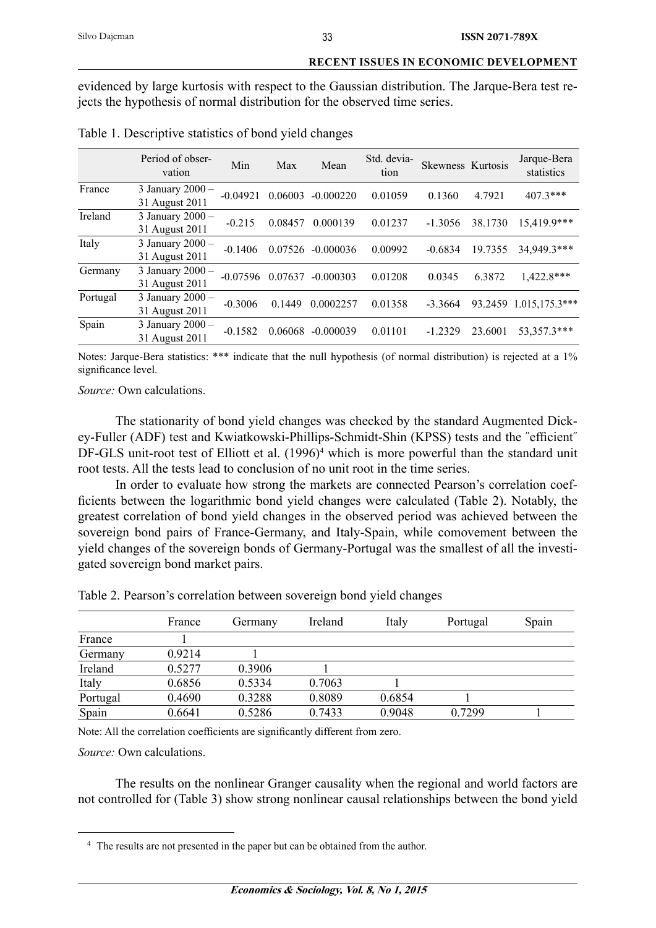evidenced by large kurtosis with respect to the Gaussian distribution. The Jarque-Bera test rejects the hypothesis of normal distribution for the observed time series.

|          | Period of obser-<br>vation         | Min        | Max     | Mean        | Std. devia-<br>tion | Skewness Kurtosis |         | Jarque-Bera<br>statistics |
|----------|------------------------------------|------------|---------|-------------|---------------------|-------------------|---------|---------------------------|
| France   | 3 January 2000 -<br>31 August 2011 | $-0.04921$ | 0.06003 | $-0.000220$ | 0.01059             | 0.1360            | 4.7921  | $407.3***$                |
| Ireland  | 3 January 2000 -<br>31 August 2011 | $-0.215$   | 0.08457 | 0.000139    | 0.01237             | $-1.3056$         | 38.1730 | 15,419.9***               |
| Italy    | 3 January 2000 -<br>31 August 2011 | $-0.1406$  | 0.07526 | $-0.000036$ | 0.00992             | $-0.6834$         | 19.7355 | 34,949.3***               |
| Germany  | 3 January 2000 -<br>31 August 2011 | $-0.07596$ | 0.07637 | $-0.000303$ | 0.01208             | 0.0345            | 6.3872  | 1,422.8***                |
| Portugal | 3 January 2000 -<br>31 August 2011 | $-0.3006$  | 0.1449  | 0.0002257   | 0.01358             | $-3.3664$         | 93.2459 | $1.015,175.3***$          |
| Spain    | 3 January 2000 -<br>31 August 2011 | $-0.1582$  | 0.06068 | $-0.000039$ | 0.01101             | $-1.2329$         | 23.6001 | 53,357.3***               |

Table 1. Descriptive statistics of bond yield changes

Notes: Jarque-Bera statistics: \*\*\* indicate that the null hypothesis (of normal distribution) is rejected at a 1% significance level.

*Source:* Own calculations.

The stationarity of bond yield changes was checked by the standard Augmented Dickey-Fuller (ADF) test and Kwiatkowski-Phillips-Schmidt-Shin (KPSS) tests and the "efficient" DF-GLS unit-root test of Elliott et al. (1996)<sup>4</sup> which is more powerful than the standard unit root tests. All the tests lead to conclusion of no unit root in the time series.

In order to evaluate how strong the markets are connected Pearson's correlation coefficients between the logarithmic bond yield changes were calculated (Table 2). Notably, the greatest correlation of bond yield changes in the observed period was achieved between the sovereign bond pairs of France-Germany, and Italy-Spain, while comovement between the yield changes of the sovereign bonds of Germany-Portugal was the smallest of all the investigated sovereign bond market pairs.

|          | France | Germany | Ireland | Italy  | Portugal | Spain |
|----------|--------|---------|---------|--------|----------|-------|
| France   |        |         |         |        |          |       |
| Germany  | 0.9214 |         |         |        |          |       |
| Ireland  | 0.5277 | 0.3906  |         |        |          |       |
| Italy    | 0.6856 | 0.5334  | 0.7063  |        |          |       |
| Portugal | 0.4690 | 0.3288  | 0.8089  | 0.6854 |          |       |
| Spain    | 0.6641 | 0.5286  | 0.7433  | 0.9048 | 0.7299   |       |

Table 2. Pearson's correlation between sovereign bond yield changes

Note: All the correlation coefficients are significantly different from zero.

*Source:* Own calculations.

The results on the nonlinear Granger causality when the regional and world factors are not controlled for (Table 3) show strong nonlinear causal relationships between the bond yield

<sup>&</sup>lt;sup>4</sup> The results are not presented in the paper but can be obtained from the author.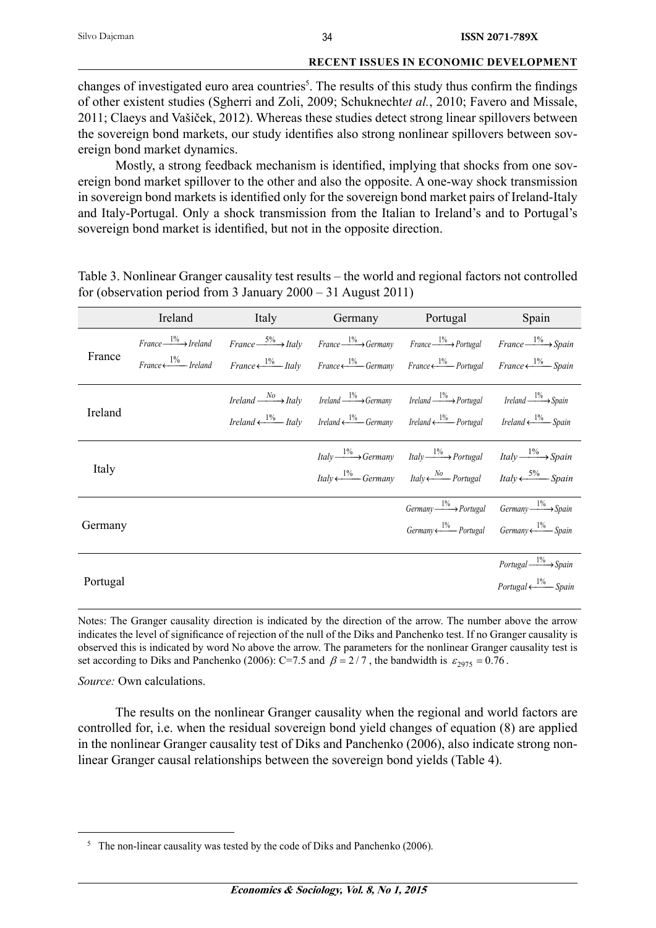changes of investigated euro area countries<sup>5</sup>. The results of this study thus confirm the findings of other existent studies (Sgherri and Zoli, 2009; Schuknecht*et al.*, 2010; Favero and Missale, 2011; Claeys and Vašiček, 2012). Whereas these studies detect strong linear spillovers between the sovereign bond markets, our study identifies also strong nonlinear spillovers between sovereign bond market dynamics.

Mostly, a strong feedback mechanism is identified, implying that shocks from one sovereign bond market spillover to the other and also the opposite. A one-way shock transmission in sovereign bond markets is identified only for the sovereign bond market pairs of Ireland-Italy and Italy-Portugal. Only a shock transmission from the Italian to Ireland's and to Portugal's sovereign bond market is identified, but not in the opposite direction.

|          | Ireland                                                               | <b>Italy</b> | Germany | Portugal                                                                                                                                                                                                                                                                                                                                                                                       | Spain                                                                   |
|----------|-----------------------------------------------------------------------|--------------|---------|------------------------------------------------------------------------------------------------------------------------------------------------------------------------------------------------------------------------------------------------------------------------------------------------------------------------------------------------------------------------------------------------|-------------------------------------------------------------------------|
| France   | $France \xrightarrow{1\%} Ireland$<br>$France \longleftarrow$ Ireland |              |         | $France \xrightarrow{5\%} Italy \qquad France \xrightarrow{1\%} Germany \qquad France \xrightarrow{1\%} Portugal \qquad France \xrightarrow{1\%} Spain$<br><i>France</i> $\leftarrow \frac{1\%}{1\%}$ <i>Italy France</i> $\leftarrow \frac{1\%}{1\%}$ <i>Germany France France Portugal France France France France France France France France France France France France France France</i> |                                                                         |
| Ireland  |                                                                       |              |         | <i>Ireland</i> $\frac{N_O}{N_O}$ <i>Italy Ireland</i> $\frac{1\%}{N_O}$ <i>Germany Ireland</i> $\frac{1\%}{N_O}$ <i>Portugal Ireland</i> $\frac{1\%}{N_O}$ <i>Spain</i><br>Ireland $\xi^{1\%}$ Italy Ireland $\xi^{1\%}$ Germany Ireland $\xi^{1\%}$ Portugal Ireland $\xi^{1\%}$ Spain                                                                                                        |                                                                         |
| Italy    |                                                                       |              |         | $Italy \xrightarrow{1\%} Germany$ Italy $\xrightarrow{1\%} Portugal$ Italy $\xrightarrow{1\%} Spanin$<br><i>Italy</i> $\leftarrow$ <sup>1%</sup> Germany <i>Italy</i> $\leftarrow$ <sup>No</sup> Portugal <i>Italy</i> $\leftarrow$ 5% Spain                                                                                                                                                   |                                                                         |
| Germany  |                                                                       |              |         | $Germanv \xrightarrow{1\%}$ Portugal $Germanv \xrightarrow{1\%}$ Spain<br>$Germany \xleftarrow{1\%}$ Portugal $Germany \xleftarrow{1\%}$ Spain                                                                                                                                                                                                                                                 |                                                                         |
| Portugal |                                                                       |              |         |                                                                                                                                                                                                                                                                                                                                                                                                | Portugal $\xrightarrow{1\%}$ Spain<br>Portugal $\xleftarrow{1\%}$ Spain |

Table 3. Nonlinear Granger causality test results – the world and regional factors not controlled for (observation period from 3 January 2000 – 31 August 2011)

Notes: The Granger causality direction is indicated by the direction of the arrow. The number above the arrow indicates the level of significance of rejection of the null of the Diks and Panchenko test. If no Granger causality is observed this is indicated by word No above the arrow. The parameters for the nonlinear Granger causality test is set according to Diks and Panchenko (2006): C=7.5 and  $\beta = 2/7$ , the bandwidth is  $\varepsilon_{2975} = 0.76$ .

*Source:* Own calculations.

The results on the nonlinear Granger causality when the regional and world factors are controlled for, i.e. when the residual sovereign bond yield changes of equation (8) are applied in the nonlinear Granger causality test of Diks and Panchenko (2006), also indicate strong nonlinear Granger causal relationships between the sovereign bond yields (Table 4).

 $5$  The non-linear causality was tested by the code of Diks and Panchenko (2006).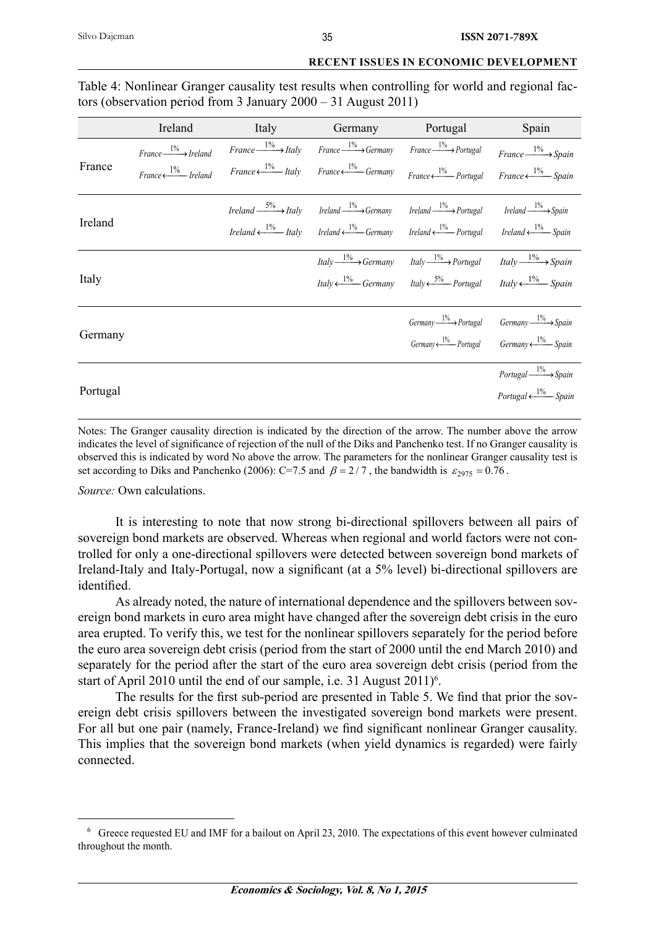|          | Ireland                            | Italy | Germany                                                                                                                                                                                                             | Portugal                                                                                                                                                       | Spain                                                                |
|----------|------------------------------------|-------|---------------------------------------------------------------------------------------------------------------------------------------------------------------------------------------------------------------------|----------------------------------------------------------------------------------------------------------------------------------------------------------------|----------------------------------------------------------------------|
|          | $France \xrightarrow{1\%} Ireland$ |       | $France \xrightarrow{1\%} Italy$ $Italy$ $France \xrightarrow{1\%} Germany$ $France \xrightarrow{1\%} Portugal$                                                                                                     |                                                                                                                                                                | $France \xrightarrow{1\%} Spain$                                     |
| France   | $France \longleftarrow$ Ireland    |       | $France \longleftarrow \frac{1\%}{}$ Italy $France \longleftarrow \frac{1\%}{}$ Germany                                                                                                                             | $France \leftarrow \frac{1\%}{1\%}$ Portugal France $\leftarrow \frac{1\%}{1\%}$ Spain                                                                         |                                                                      |
|          |                                    |       | <i>Ireland</i> $\xrightarrow{5\%}$ <i>Italy Ireland</i> $\xrightarrow{1\%}$ <i>Germany Ireland</i> $\xrightarrow{1\%}$ <i>Portugal Ireland</i> $\xrightarrow{1\%}$ <i>Spain</i>                                     |                                                                                                                                                                |                                                                      |
| Ireland  |                                    |       | <i>Ireland</i> $\leftarrow \frac{1\%}{1\%}$ <i>Italy Ireland</i> $\leftarrow \frac{1\%}{1\%}$ <i>Germany Ireland</i> $\leftarrow \frac{1\%}{1\%}$ <i>Portugal Ireland</i> $\leftarrow \frac{1\%}{1\%}$ <i>Spain</i> |                                                                                                                                                                |                                                                      |
|          |                                    |       |                                                                                                                                                                                                                     | <i>Italy</i> $\frac{1\%}{\longrightarrow}$ <i>Germany Italy</i> $\frac{1\%}{\longrightarrow}$ <i>Portugal Italy</i> $\frac{1\%}{\longrightarrow}$ <i>Spain</i> |                                                                      |
| Italy    |                                    |       |                                                                                                                                                                                                                     | <i>Italy</i> $\leftarrow$ <sup>1%</sup> Germany <i>Italy</i> $\leftarrow$ <sup>5%</sup> Portugal <i>Italy</i> $\leftarrow$ <sup>1%</sup> Spain                 |                                                                      |
| Germany  |                                    |       |                                                                                                                                                                                                                     | Germany $\frac{1\%}{1\%}$ Portugal Germany $\frac{1\%}{1\%}$ Spain                                                                                             |                                                                      |
|          |                                    |       |                                                                                                                                                                                                                     |                                                                                                                                                                | $Germany \xleftarrow{1\%}$ Portugal $Germany \xleftarrow{1\%}$ Spain |
|          |                                    |       |                                                                                                                                                                                                                     |                                                                                                                                                                | $Portugal \xrightarrow{1\%} Spain$                                   |
| Portugal |                                    |       |                                                                                                                                                                                                                     |                                                                                                                                                                | Portugal $\xleftarrow{1\%}$ Spain                                    |

Table 4: Nonlinear Granger causality test results when controlling for world and regional factors (observation period from 3 January 2000 – 31 August 2011)

Notes: The Granger causality direction is indicated by the direction of the arrow. The number above the arrow indicates the level of significance of rejection of the null of the Diks and Panchenko test. If no Granger causality is observed this is indicated by word No above the arrow. The parameters for the nonlinear Granger causality test is set according to Diks and Panchenko (2006): C=7.5 and  $\beta = 2/7$ , the bandwidth is  $\varepsilon_{2975} = 0.76$ .

*Source:* Own calculations.

It is interesting to note that now strong bi-directional spillovers between all pairs of sovereign bond markets are observed. Whereas when regional and world factors were not controlled for only a one-directional spillovers were detected between sovereign bond markets of Ireland-Italy and Italy-Portugal, now a significant (at a 5% level) bi-directional spillovers are identified.

As already noted, the nature of international dependence and the spillovers between sovereign bond markets in euro area might have changed after the sovereign debt crisis in the euro area erupted. To verify this, we test for the nonlinear spillovers separately for the period before the euro area sovereign debt crisis (period from the start of 2000 until the end March 2010) and separately for the period after the start of the euro area sovereign debt crisis (period from the start of April 2010 until the end of our sample, i.e. 31 August 2011)<sup>6</sup>.

The results for the first sub-period are presented in Table 5. We find that prior the sovereign debt crisis spillovers between the investigated sovereign bond markets were present. For all but one pair (namely, France-Ireland) we find significant nonlinear Granger causality. This implies that the sovereign bond markets (when yield dynamics is regarded) were fairly connected.

<sup>&</sup>lt;sup>6</sup> Greece requested EU and IMF for a bailout on April 23, 2010. The expectations of this event however culminated throughout the month.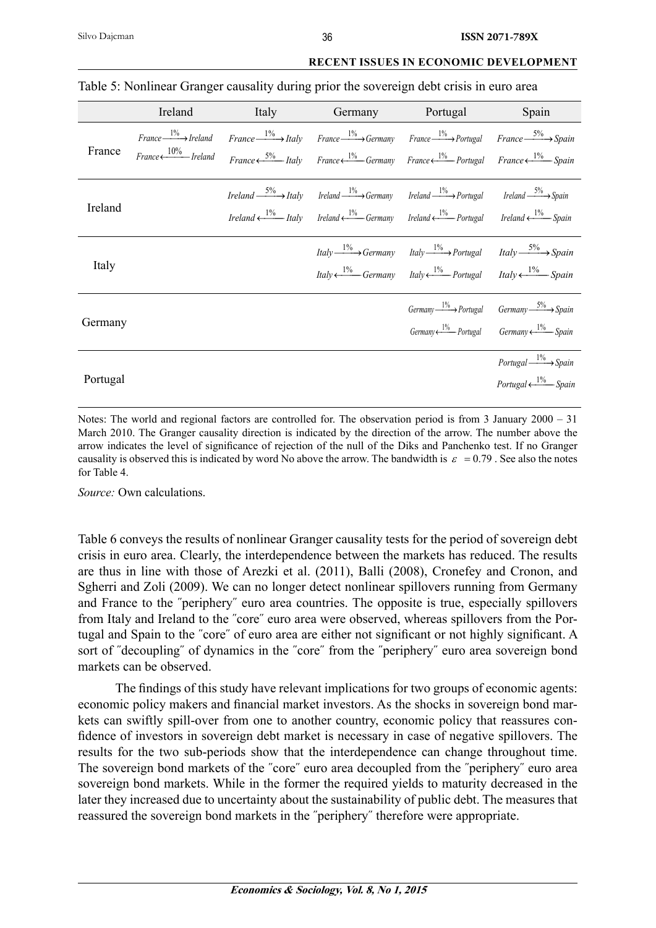|          | Ireland                                                               | <b>Italy</b> | Germany                                                                                                                                                                                                                                                                                                                                                                              | Portugal                                                                                                                                                                                                                                                                           | Spain                                                                                                                                          |
|----------|-----------------------------------------------------------------------|--------------|--------------------------------------------------------------------------------------------------------------------------------------------------------------------------------------------------------------------------------------------------------------------------------------------------------------------------------------------------------------------------------------|------------------------------------------------------------------------------------------------------------------------------------------------------------------------------------------------------------------------------------------------------------------------------------|------------------------------------------------------------------------------------------------------------------------------------------------|
| France   | $France \xrightarrow{1\%} Ireland$<br>$France \longleftarrow$ Ireland |              | $France \xrightarrow{1\%} Italy$ $France \xrightarrow{1\%} Germany$ $France \xrightarrow{1\%} Portugal$ $France \xrightarrow{5\%} Spain$<br>France $\xi^{5\%}$ Italy France $\xi^{1\%}$ Germany France $\xi^{1\%}$ Portugal France $\xi^{1\%}$ Spain                                                                                                                                 |                                                                                                                                                                                                                                                                                    |                                                                                                                                                |
| Ireland  |                                                                       |              | <i>Ireland</i> $\xrightarrow{5\%}$ <i>Italy Ireland</i> $\xrightarrow{1\%}$ <i>Germany Ireland</i> $\xrightarrow{1\%}$ <i>Portugal Ireland</i> $\xrightarrow{5\%}$ <i>Spain</i><br><i>Ireland</i> $\leftarrow$ <i>L</i> <sup>1%</sup> <i>Italy Ireland</i> $\leftarrow$ <i>Germany Ireland</i> $\leftarrow$ <i>Portugal Ireland</i> $\leftarrow$ <i>L</i> <sup>1%</sup> <i>Spain</i> |                                                                                                                                                                                                                                                                                    |                                                                                                                                                |
| Italy    |                                                                       |              |                                                                                                                                                                                                                                                                                                                                                                                      | <i>Italy</i> $\xrightarrow{1\%}$ <i>Germany Italy</i> $\xrightarrow{1\%}$ <i>Portugal Italy</i> $\xrightarrow{5\%}$ <i>Spain</i><br><i>Italy</i> $\leftarrow$ <sup>1%</sup> Germany <i>Italy</i> $\leftarrow$ <sup>1%</sup> Portugal <i>Italy</i> $\leftarrow$ <sup>1%</sup> Spain |                                                                                                                                                |
| Germany  |                                                                       |              |                                                                                                                                                                                                                                                                                                                                                                                      |                                                                                                                                                                                                                                                                                    | $Germany \xrightarrow{1\%}$ Portugal $Germany \xrightarrow{5\%}$ Spain<br>$Germany \xleftarrow{1\%}$ Portugal $Germany \xleftarrow{1\%}$ Spain |
| Portugal |                                                                       |              |                                                                                                                                                                                                                                                                                                                                                                                      |                                                                                                                                                                                                                                                                                    | $Portugal \xrightarrow{1\%} Spain$<br>Portugal $\xleftarrow{1\%}$ Spain                                                                        |

# Table 5: Nonlinear Granger causality during prior the sovereign debt crisis in euro area

Notes: The world and regional factors are controlled for. The observation period is from 3 January  $2000 - 31$ March 2010. The Granger causality direction is indicated by the direction of the arrow. The number above the arrow indicates the level of significance of rejection of the null of the Diks and Panchenko test. If no Granger causality is observed this is indicated by word No above the arrow. The bandwidth is  $\varepsilon = 0.79$ . See also the notes for Table 4.

*Source:* Own calculations.

Table 6 conveys the results of nonlinear Granger causality tests for the period of sovereign debt crisis in euro area. Clearly, the interdependence between the markets has reduced. The results are thus in line with those of Arezki et al. (2011), Balli (2008), Cronefey and Cronon, and Sgherri and Zoli (2009). We can no longer detect nonlinear spillovers running from Germany and France to the ˝periphery˝ euro area countries. The opposite is true, especially spillovers from Italy and Ireland to the ˝core˝ euro area were observed, whereas spillovers from the Portugal and Spain to the "core" of euro area are either not significant or not highly significant. A sort of "decoupling" of dynamics in the "core" from the "periphery" euro area sovereign bond markets can be observed.

The findings of this study have relevant implications for two groups of economic agents: economic policy makers and financial market investors. As the shocks in sovereign bond markets can swiftly spill-over from one to another country, economic policy that reassures confidence of investors in sovereign debt market is necessary in case of negative spillovers. The results for the two sub-periods show that the interdependence can change throughout time. The sovereign bond markets of the ˝core˝ euro area decoupled from the ˝periphery˝ euro area sovereign bond markets. While in the former the required yields to maturity decreased in the later they increased due to uncertainty about the sustainability of public debt. The measures that reassured the sovereign bond markets in the ˝periphery˝ therefore were appropriate.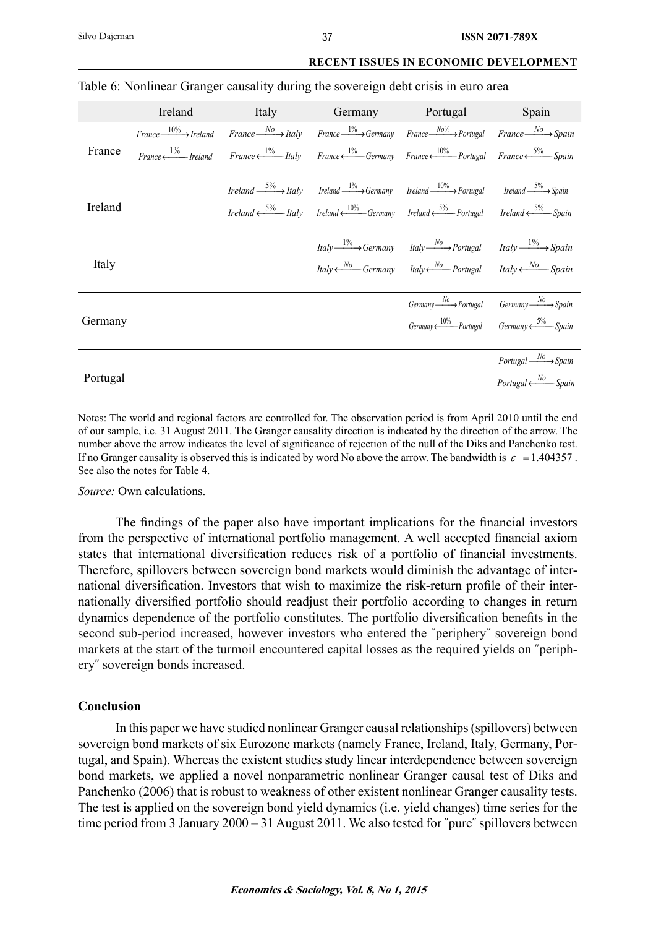|          | Ireland |  | Italy Germany Portugal                                                                                                                                                                                            | Spain                             |
|----------|---------|--|-------------------------------------------------------------------------------------------------------------------------------------------------------------------------------------------------------------------|-----------------------------------|
|          |         |  | $France \xrightarrow{10\%} Ireland$ $France \xrightarrow{No} Italy$ $Italy$ $France \xrightarrow{1\%} Germany$ $France \xrightarrow{No\%} Portugal$ $France \xrightarrow{No} Spanin$                              |                                   |
| France   |         |  | France $\leftarrow \frac{1\%}{1\%}$ Ireland France $\leftarrow \frac{1\%}{1\%}$ Italy France $\leftarrow \frac{1\%}{1\%}$ France $\leftarrow \frac{10\%}{1\%}$ Portugal France $\leftarrow \frac{5\%}{1\%}$ Spain |                                   |
|          |         |  | <i>Ireland</i> $\xrightarrow{5\%}$ <i>Italy Ireland</i> $\xrightarrow{1\%}$ <i>Germany Ireland</i> $\xrightarrow{10\%}$ <i>Portugal Ireland</i> $\xrightarrow{5\%}$ <i>Spain</i>                                  |                                   |
| Ireland  |         |  | <i>Ireland</i> $\xrightarrow{5\%}$ <i>Italy Ireland</i> $\xleftarrow{10\%}$ <i>Germany Ireland</i> $\xrightarrow{5\%}$ <i>Portugal Ireland</i> $\xrightarrow{5\%}$ <i>Spain</i>                                   |                                   |
|          |         |  | $Italy \xrightarrow{1\%} Germany$ $Italy \xrightarrow{No} Portugal$ $Italy \xrightarrow{1\%} Spain$                                                                                                               |                                   |
| Italy    |         |  | <i>Italy</i> $\leftarrow$ Mo Germany <i>Italy</i> $\leftarrow$ Mo Portugal <i>Italy</i> $\leftarrow$ <i>No</i> Spain                                                                                              |                                   |
|          |         |  | $Germany \xrightarrow{No}$ Portugal $Germany \xrightarrow{No}$ Spain                                                                                                                                              |                                   |
| Germany  |         |  | Germany $\xi$ and $\xi$ and $\xi$ are Dortugal Germany $\xi$ 5% Spain                                                                                                                                             |                                   |
| Portugal |         |  |                                                                                                                                                                                                                   |                                   |
|          |         |  |                                                                                                                                                                                                                   | $Portugal \xrightarrow{No} Spain$ |
|          |         |  |                                                                                                                                                                                                                   | Portugal $\xleftarrow{No}$ Spain  |

## Table 6: Nonlinear Granger causality during the sovereign debt crisis in euro area

Notes: The world and regional factors are controlled for. The observation period is from April 2010 until the end of our sample, i.e. 31 August 2011. The Granger causality direction is indicated by the direction of the arrow. The number above the arrow indicates the level of significance of rejection of the null of the Diks and Panchenko test. If no Granger causality is observed this is indicated by word No above the arrow. The bandwidth is  $\varepsilon = 1.404357$ . See also the notes for Table 4.

*Source:* Own calculations.

The findings of the paper also have important implications for the financial investors from the perspective of international portfolio management. A well accepted financial axiom states that international diversification reduces risk of a portfolio of financial investments. Therefore, spillovers between sovereign bond markets would diminish the advantage of international diversification. Investors that wish to maximize the risk-return profile of their internationally diversified portfolio should readjust their portfolio according to changes in return dynamics dependence of the portfolio constitutes. The portfolio diversification benefits in the second sub-period increased, however investors who entered the ˝periphery˝ sovereign bond markets at the start of the turmoil encountered capital losses as the required yields on ˝periphery˝ sovereign bonds increased.

# **Conclusion**

In this paper we have studied nonlinear Granger causal relationships (spillovers) between sovereign bond markets of six Eurozone markets (namely France, Ireland, Italy, Germany, Portugal, and Spain). Whereas the existent studies study linear interdependence between sovereign bond markets, we applied a novel nonparametric nonlinear Granger causal test of Diks and Panchenko (2006) that is robust to weakness of other existent nonlinear Granger causality tests. The test is applied on the sovereign bond yield dynamics (i.e. yield changes) time series for the time period from 3 January 2000 – 31 August 2011. We also tested for "pure" spillovers between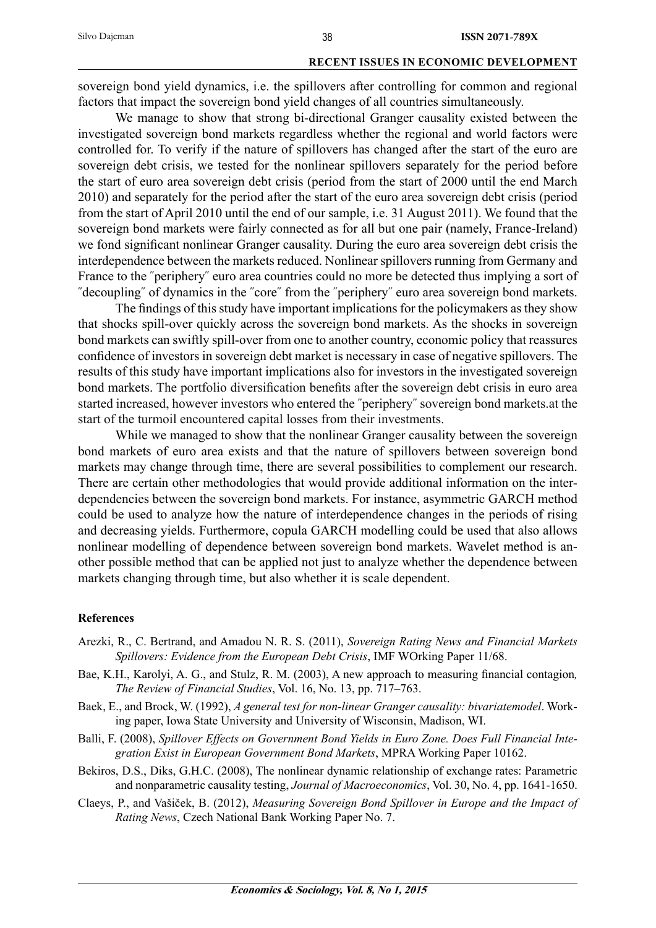sovereign bond yield dynamics, i.e. the spillovers after controlling for common and regional factors that impact the sovereign bond yield changes of all countries simultaneously.

We manage to show that strong bi-directional Granger causality existed between the investigated sovereign bond markets regardless whether the regional and world factors were controlled for. To verify if the nature of spillovers has changed after the start of the euro are sovereign debt crisis, we tested for the nonlinear spillovers separately for the period before the start of euro area sovereign debt crisis (period from the start of 2000 until the end March 2010) and separately for the period after the start of the euro area sovereign debt crisis (period from the start of April 2010 until the end of our sample, i.e. 31 August 2011). We found that the sovereign bond markets were fairly connected as for all but one pair (namely, France-Ireland) we fond significant nonlinear Granger causality. During the euro area sovereign debt crisis the interdependence between the markets reduced. Nonlinear spillovers running from Germany and France to the "periphery" euro area countries could no more be detected thus implying a sort of ˝decoupling˝ of dynamics in the ˝core˝ from the ˝periphery˝ euro area sovereign bond markets.

The findings of this study have important implications for the policymakers as they show that shocks spill-over quickly across the sovereign bond markets. As the shocks in sovereign bond markets can swiftly spill-over from one to another country, economic policy that reassures confidence of investors in sovereign debt market is necessary in case of negative spillovers. The results of this study have important implications also for investors in the investigated sovereign bond markets. The portfolio diversification benefits after the sovereign debt crisis in euro area started increased, however investors who entered the ˝periphery˝ sovereign bond markets.at the start of the turmoil encountered capital losses from their investments.

While we managed to show that the nonlinear Granger causality between the sovereign bond markets of euro area exists and that the nature of spillovers between sovereign bond markets may change through time, there are several possibilities to complement our research. There are certain other methodologies that would provide additional information on the interdependencies between the sovereign bond markets. For instance, asymmetric GARCH method could be used to analyze how the nature of interdependence changes in the periods of rising and decreasing yields. Furthermore, copula GARCH modelling could be used that also allows nonlinear modelling of dependence between sovereign bond markets. Wavelet method is another possible method that can be applied not just to analyze whether the dependence between markets changing through time, but also whether it is scale dependent.

#### **References**

- Arezki, R., C. Bertrand, and Amadou N. R. S. (2011), *Sovereign Rating News and Financial Markets Spillovers: Evidence from the European Debt Crisis*, IMF WOrking Paper 11/68.
- Bae, K.H., Karolyi, A. G., and Stulz, R. M. (2003), A new approach to measuring financial contagion, *The Review of Financial Studies*, Vol. 16, No. 13, pp. 717–763.
- Baek, E., and Brock, W. (1992), *A general test for non-linear Granger causality: bivariatemodel*. Working paper, Iowa State University and University of Wisconsin, Madison, WI.
- Balli, F. (2008), *Spillover Effects on Government Bond Yields in Euro Zone. Does Full Financial Integration Exist in European Government Bond Markets*, MPRA Working Paper 10162.
- Bekiros, D.S., Diks, G.H.C. (2008), The nonlinear dynamic relationship of exchange rates: Parametric and nonparametric causality testing, *Journal of Macroeconomics*, Vol. 30, No. 4, pp. 1641-1650.
- Claeys, P., and Vašiček, B. (2012), *Measuring Sovereign Bond Spillover in Europe and the Impact of Rating News*, Czech National Bank Working Paper No. 7.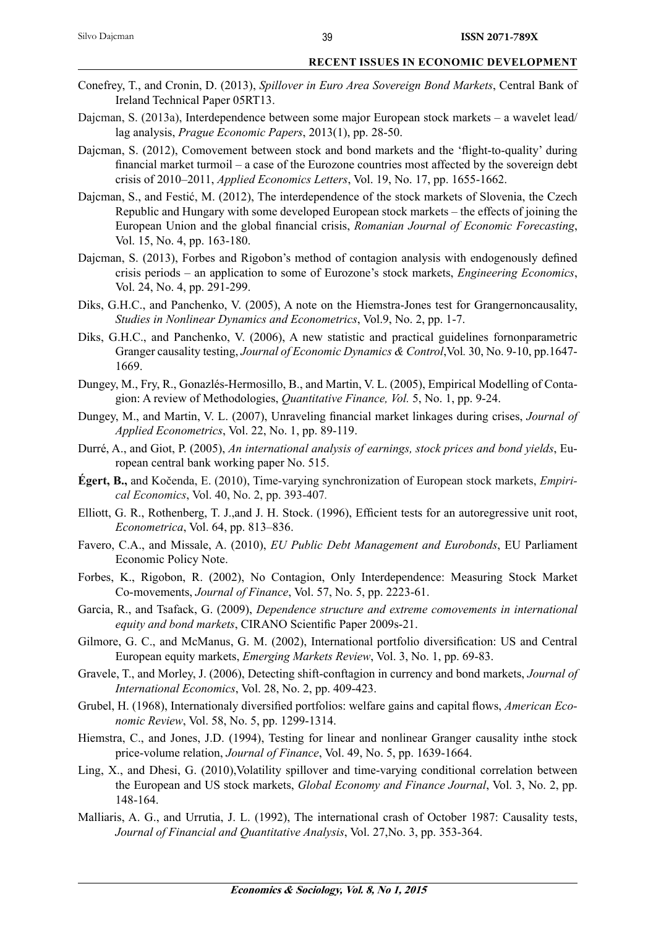- Conefrey, T., and Cronin, D. (2013), *Spillover in Euro Area Sovereign Bond Markets*, Central Bank of Ireland Technical Paper 05RT13.
- Dajcman, S. (2013a), Interdependence between some major European stock markets a wavelet lead/ lag analysis, *Prague Economic Papers*, 2013(1), pp. 28-50.
- Dajcman, S. (2012), Comovement between stock and bond markets and the 'flight-to-quality' during financial market turmoil – a case of the Eurozone countries most affected by the sovereign debt crisis of 2010–2011, *Applied Economics Letters*, Vol. 19, No. 17, pp. 1655-1662.
- Dajcman, S., and Festić, M. (2012), The interdependence of the stock markets of Slovenia, the Czech Republic and Hungary with some developed European stock markets – the effects of joining the European Union and the global financial crisis, *Romanian Journal of Economic Forecasting*, Vol. 15, No. 4, pp. 163-180.
- Dajcman, S. (2013), Forbes and Rigobon's method of contagion analysis with endogenously defined crisis periods – an application to some of Eurozone's stock markets, *Engineering Economics*, Vol. 24, No. 4, pp. 291-299.
- Diks, G.H.C., and Panchenko, V. (2005), A note on the Hiemstra-Jones test for Grangernoncausality, *Studies in Nonlinear Dynamics and Econometrics*, Vol.9, No. 2, pp. 1-7.
- Diks, G.H.C., and Panchenko, V. (2006), A new statistic and practical guidelines fornonparametric Granger causality testing, *Journal of Economic Dynamics & Control*,Vol*.* 30, No. 9-10, pp.1647- 1669.
- Dungey, M., Fry, R., Gonazlés-Hermosillo, B., and Martin, V. L. (2005), Empirical Modelling of Contagion: A review of Methodologies, *Quantitative Finance, Vol.* 5, No. 1, pp. 9-24.
- Dungey, M., and Martin, V. L. (2007), Unraveling financial market linkages during crises, *Journal of Applied Econometrics*, Vol. 22, No. 1, pp. 89-119.
- Durré, A., and Giot, P. (2005), *An international analysis of earnings, stock prices and bond yields*, European central bank working paper No. 515.
- **Égert, B.,** and Kočenda, E. (2010), Time-varying synchronization of European stock markets, *Empirical Economics*, Vol. 40, No. 2, pp. 393-407*.*
- Elliott, G. R., Rothenberg, T. J.,and J. H. Stock. (1996), Efficient tests for an autoregressive unit root, *Econometrica*, Vol. 64, pp. 813–836.
- Favero, C.A., and Missale, A. (2010), *EU Public Debt Management and Eurobonds*, EU Parliament Economic Policy Note.
- Forbes, K., Rigobon, R. (2002), No Contagion, Only Interdependence: Measuring Stock Market Co-movements, *Journal of Finance*, Vol. 57, No. 5, pp. 2223-61.
- Garcia, R., and Tsafack, G. (2009), *Dependence structure and extreme comovements in international equity and bond markets, CIRANO Scientific Paper 2009s-21.*
- Gilmore, G. C., and McManus, G. M. (2002), International portfolio diversification: US and Central European equity markets, *Emerging Markets Review*, Vol. 3, No. 1, pp. 69-83.
- Gravele, T., and Morley, J. (2006), Detecting shift-conftagion in currency and bond markets, *Journal of International Economics*, Vol. 28, No. 2, pp. 409-423.
- Grubel, H. (1968), Internationaly diversified portfolios: welfare gains and capital flows, *American Economic Review*, Vol. 58, No. 5, pp. 1299-1314.
- Hiemstra, C., and Jones, J.D. (1994), Testing for linear and nonlinear Granger causality inthe stock price-volume relation, *Journal of Finance*, Vol. 49, No. 5, pp. 1639-1664.
- Ling, X., and Dhesi, G. (2010),Volatility spillover and time-varying conditional correlation between the European and US stock markets, *Global Economy and Finance Journal*, Vol. 3, No. 2, pp. 148-164.
- Malliaris, A. G., and Urrutia, J. L. (1992), The international crash of October 1987: Causality tests, *Journal of Financial and Quantitative Analysis*, Vol. 27,No. 3, pp. 353-364.